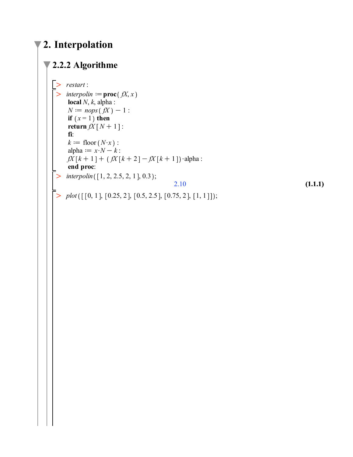## **2. Interpolation**

## **2.2.2 Algorithme**

```
\geq>>>>>>>>>>>>
     restart
:
 \triangleright interpolin := proc(fX, x
      local
N,
k, alpha
:
      N := nops(fX) - 1:
      if (x = 1) then
      \textbf{return } fX \mid N+1:
      fi
:
      k := \text{floor}(N \cdot x):
      alpha := x \cdot N - k:
      fX[k+1] + (fX[k+2] - fX[k+1]) \cdot \text{alpha}:
      end proc
:
     interpolin([1, 2, 2.5, 2, 1], 0.3);
                                                    2.10
                                                                                                             (1.1.1)
     plot([\n[0, 1], [0.25, 2], [0.5, 2.5], [0.75, 2], [1, 1]]);
```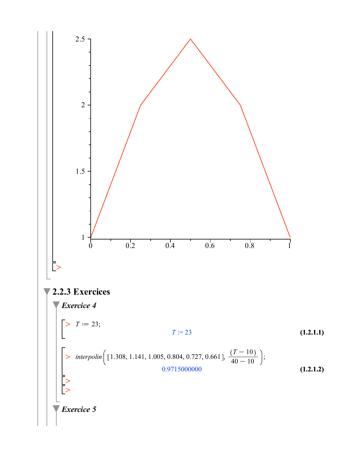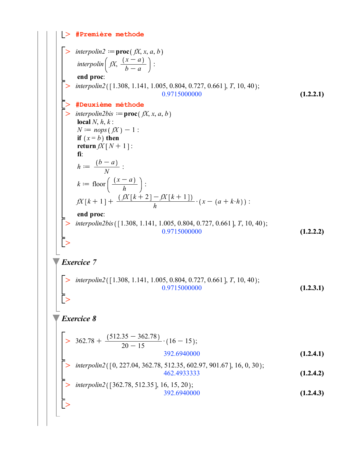$$
\begin{bmatrix}\n> \text{#} \text{Première methode} \\
> \text{intprolml2} := \text{proc}(f, x, a, b) \\
\text{intprolml} \left( f, \frac{(x - a)}{b - a} \right) : \\
\text{end proc:} \\
> \text{intprol2}(11.308, 1.141, 1.005, 0.804, 0.727, 0.661}, T, 10, 40); \\
> \text{theauxi-eme methode} \\
> \text{intprolub2bis} := \text{proc}(f, x, a, b) \\
\text{local } f, h \text{ is } \\
N = \text{top} \left( f, x \right) + 1 : \\
\text{if } (x = b) \text{ then} \\
\text{return } fX \mid N + 1 : \\
\text{if } \\
h := \frac{(b - a)}{N} : \\
h = \frac{(b - a)}{N} : \\
\text{where } \\
h = \text{floor}\left(\frac{(x - a)}{h}\right): \\
fX \mid k + 1 + \frac{(fX \mid k + 2) - fX \mid k + 1)}{h} \cdot (x - (a + k \cdot h)) : \\
\text{end proc:} \\
\text{therefore} \\
\text{intprolub2bis} \left[1.308, 1.141, 1.005, 0.804, 0.727, 0.661}, T, 10, 40; \\
\text{intprolub3(b)} \left[1.308, 1.141, 1.005, 0.804, 0.727, 0.661}, T, 10, 40; \\
\text{Exercise 7}\n\end{bmatrix}\n\begin{bmatrix}\n> \text{interpolin2}([1.308, 1.141, 1.005, 0.804, 0.727, 0.661], T, 10, 40; \\
0.9715000000 & 0.661, T, 10, 40; \\
0.9715000000 & 0.661, T, 10, 40;\n\end{bmatrix}\n\begin{bmatrix}\n> \text{interpolin2}([1.308, 1.141, 1.005, 0.804, 0.727, 0.661], T, 10, 40; \\
0.9715000000 & 0.661, T,
$$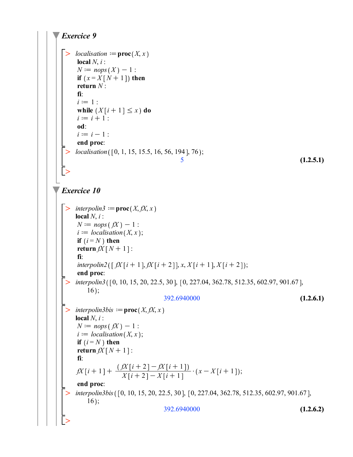```
(1.2.5.1)
 > interpolin3bis ([0, 10, 15, 20, 22.5, 30], [0, 227.04, 362.78, 512.35, 602.97, 901.67],
 \triangleright interpolin3bis := proc(X, fX, x
                                                                                       (1.2.6.2)
 \geq\geq\geq\geq\geq(1.2.6.1)
 \geqExercice 9
     localisation := proc(X, x)local N, i :
     N := nops(X) - 1:
     if (x = X[N+1]) then
     return N :
      fi:
     i := 1 :
     while (X[i+1] \leq x) do
     i := i + 1 :
      od:
     i := i - 1 :
      end proc:
    localisation ([0, 1, 15, 15.5, 16, 56, 194], 76);
                                           5
Exercice 10
    interpolin3 := proc(X, fX, x)
     local N, i :
     N := nops(fX) - 1:
     i := localisation(X, x);if (i = N) then
     return fX[N+1]:
     fi:
     interpolin2([fX[i+1], fX[i+2]], x, X[i+1], X[i+2]);end proc:
    interpolin3 (\lceil 0, 10, 15, 20, 22.5, 30 \rceil, \lceil 0, 227.04, 362.78, 512.35, 602.97, 901.67 \rceil,
         16;
                                     392.6940000
     local N, i :
     N := nops(fX) - 1:
     i := localisation(X, x);if (i = N) then
     return fX[N+1]:
     fi:
      fX[i+1] + \frac{(fX[i+2]-fX[i+1])}{X[i+2]-X[i+1]}X[i+2] - X[i+1] \cdot (x-X[i+1]);<br>
     end proc:
         16;
                                     392.6940000
```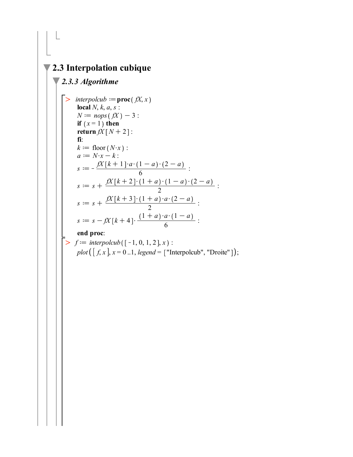## $\sqrt{2.3}$  Interpolation cubique

## $\sqrt{2.3.3$  Algorithme

 $\boxed{\phantom{\mathcal{L}}\phantom{\mathcal{L}}\mathcal{L}}$ 

> *interpolcub* := **proc**(
$$
fX, x
$$
)  
\n**local**  $N, k, a, s$ :  
\n $N := nops(fX) - 3$ :  
\n**if**  $(x = 1)$  **then**  
\n**return**  $fX[N + 2]$ :  
\n**fi**:  
\n $k := floor(N \cdot x)$ :  
\n $a := N \cdot x - k$ :  
\n $s := -\frac{fX[k + 1] \cdot a \cdot (1 - a) \cdot (2 - a)}{6}$ :  
\n $s := s + \frac{fX[k + 2] \cdot (1 + a) \cdot (1 - a) \cdot (2 - a)}{2}$ :  
\n $s := s + \frac{fX[k + 3] \cdot (1 + a) \cdot a \cdot (2 - a)}{2}$ :  
\n $s := s - fX[k + 4] \cdot \frac{(1 + a) \cdot a \cdot (1 - a)}{6}$ :  
\n**end proc**:  
\n>>  $f := interpolcub([-1, 0, 1, 2], x)$ :

$$
plot([f, x], x = 0..1, legend = ['Interpolcub", "Droite"]);
$$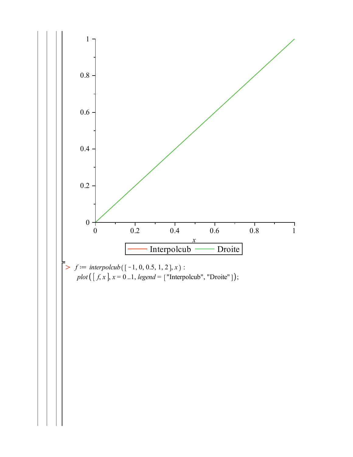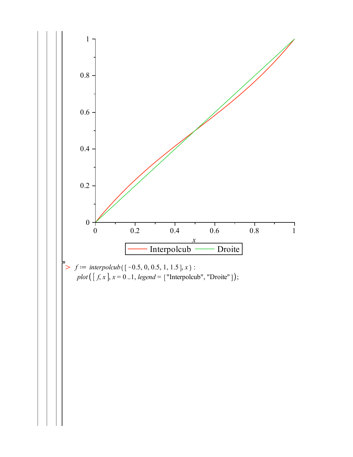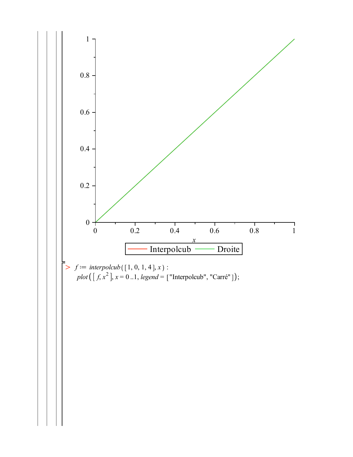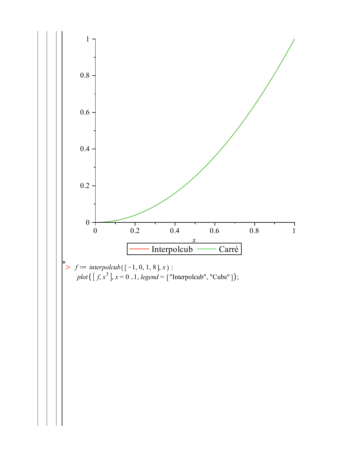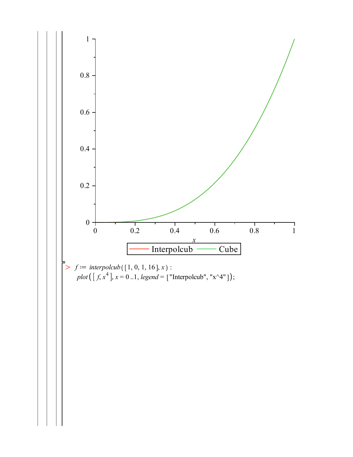